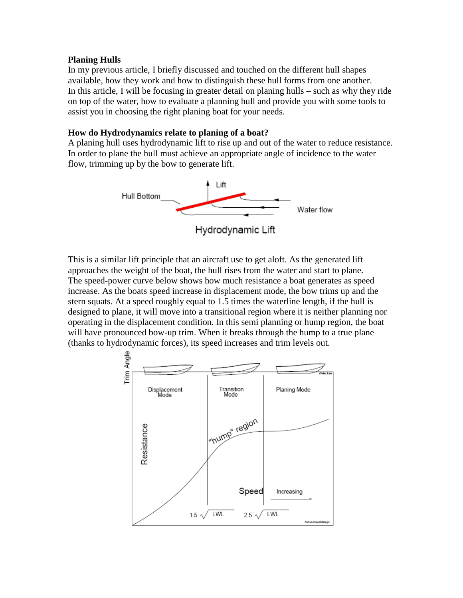#### **Planing Hulls**

In my previous article, I briefly discussed and touched on the different hull shapes available, how they work and how to distinguish these hull forms from one another. In this article, I will be focusing in greater detail on planing hulls – such as why they ride on top of the water, how to evaluate a planning hull and provide you with some tools to assist you in choosing the right planing boat for your needs.

# **How do Hydrodynamics relate to planing of a boat?**

A planing hull uses hydrodynamic lift to rise up and out of the water to reduce resistance. In order to plane the hull must achieve an appropriate angle of incidence to the water flow, trimming up by the bow to generate lift.



This is a similar lift principle that an aircraft use to get aloft. As the generated lift approaches the weight of the boat, the hull rises from the water and start to plane. The speed-power curve below shows how much resistance a boat generates as speed increase. As the boats speed increase in displacement mode, the bow trims up and the stern squats. At a speed roughly equal to 1.5 times the waterline length, if the hull is designed to plane, it will move into a transitional region where it is neither planning nor operating in the displacement condition. In this semi planning or hump region, the boat will have pronounced bow-up trim. When it breaks through the hump to a true plane (thanks to hydrodynamic forces), its speed increases and trim levels out.

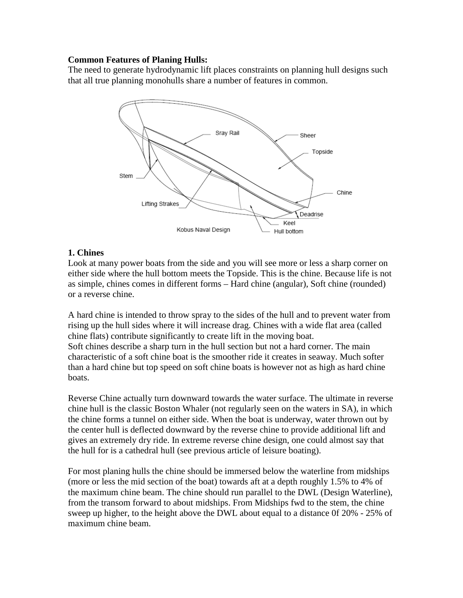# **Common Features of Planing Hulls:**

The need to generate hydrodynamic lift places constraints on planning hull designs such that all true planning monohulls share a number of features in common.



# **1. Chines**

Look at many power boats from the side and you will see more or less a sharp corner on either side where the hull bottom meets the Topside. This is the chine. Because life is not as simple, chines comes in different forms – Hard chine (angular), Soft chine (rounded) or a reverse chine.

A hard chine is intended to throw spray to the sides of the hull and to prevent water from rising up the hull sides where it will increase drag. Chines with a wide flat area (called chine flats) contribute significantly to create lift in the moving boat. Soft chines describe a sharp turn in the hull section but not a hard corner. The main characteristic of a soft chine boat is the smoother ride it creates in seaway. Much softer than a hard chine but top speed on soft chine boats is however not as high as hard chine boats.

Reverse Chine actually turn downward towards the water surface. The ultimate in reverse chine hull is the classic Boston Whaler (not regularly seen on the waters in SA), in which the chine forms a tunnel on either side. When the boat is underway, water thrown out by the center hull is deflected downward by the reverse chine to provide additional lift and gives an extremely dry ride. In extreme reverse chine design, one could almost say that the hull for is a cathedral hull (see previous article of leisure boating).

For most planing hulls the chine should be immersed below the waterline from midships (more or less the mid section of the boat) towards aft at a depth roughly 1.5% to 4% of the maximum chine beam. The chine should run parallel to the DWL (Design Waterline), from the transom forward to about midships. From Midships fwd to the stem, the chine sweep up higher, to the height above the DWL about equal to a distance 0f 20% - 25% of maximum chine beam.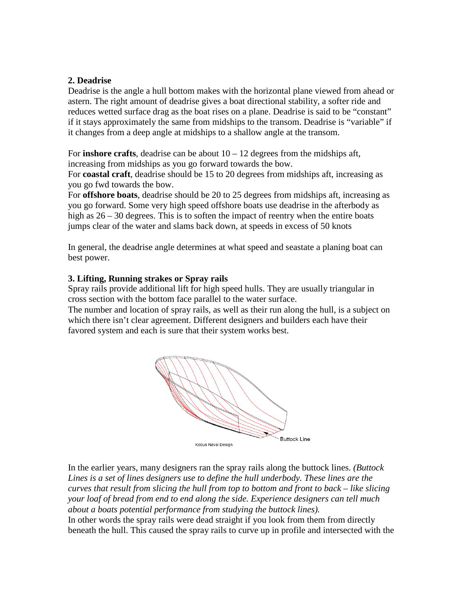# **2. Deadrise**

Deadrise is the angle a hull bottom makes with the horizontal plane viewed from ahead or astern. The right amount of deadrise gives a boat directional stability, a softer ride and reduces wetted surface drag as the boat rises on a plane. Deadrise is said to be "constant" if it stays approximately the same from midships to the transom. Deadrise is "variable" if it changes from a deep angle at midships to a shallow angle at the transom.

For **inshore crafts**, deadrise can be about  $10 - 12$  degrees from the midships aft, increasing from midships as you go forward towards the bow.

For **coastal craft**, deadrise should be 15 to 20 degrees from midships aft, increasing as you go fwd towards the bow.

For **offshore boats**, deadrise should be 20 to 25 degrees from midships aft, increasing as you go forward. Some very high speed offshore boats use deadrise in the afterbody as high as  $26 - 30$  degrees. This is to soften the impact of reentry when the entire boats jumps clear of the water and slams back down, at speeds in excess of 50 knots

In general, the deadrise angle determines at what speed and seastate a planing boat can best power.

# **3. Lifting, Running strakes or Spray rails**

Spray rails provide additional lift for high speed hulls. They are usually triangular in cross section with the bottom face parallel to the water surface.

The number and location of spray rails, as well as their run along the hull, is a subject on which there isn't clear agreement. Different designers and builders each have their favored system and each is sure that their system works best.



In the earlier years, many designers ran the spray rails along the buttock lines. *(Buttock Lines is a set of lines designers use to define the hull underbody. These lines are the curves that result from slicing the hull from top to bottom and front to back – like slicing your loaf of bread from end to end along the side. Experience designers can tell much about a boats potential performance from studying the buttock lines).* In other words the spray rails were dead straight if you look from them from directly beneath the hull. This caused the spray rails to curve up in profile and intersected with the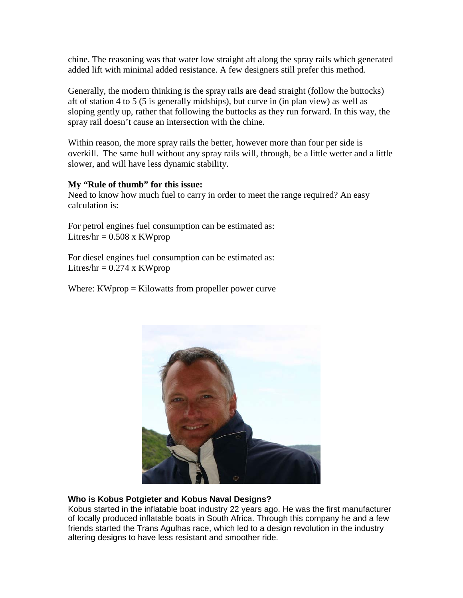chine. The reasoning was that water low straight aft along the spray rails which generated added lift with minimal added resistance. A few designers still prefer this method.

Generally, the modern thinking is the spray rails are dead straight (follow the buttocks) aft of station 4 to 5 (5 is generally midships), but curve in (in plan view) as well as sloping gently up, rather that following the buttocks as they run forward. In this way, the spray rail doesn't cause an intersection with the chine.

Within reason, the more spray rails the better, however more than four per side is overkill. The same hull without any spray rails will, through, be a little wetter and a little slower, and will have less dynamic stability.

# **My "Rule of thumb" for this issue:**

Need to know how much fuel to carry in order to meet the range required? An easy calculation is:

For petrol engines fuel consumption can be estimated as: Litres/ $hr = 0.508$  x KWprop

For diesel engines fuel consumption can be estimated as: Litres/hr =  $0.274 \times$  KWprop

Where:  $KW$ prop = Kilowatts from propeller power curve



# **Who is Kobus Potgieter and Kobus Naval Designs?**

Kobus started in the inflatable boat industry 22 years ago. He was the first manufacturer of locally produced inflatable boats in South Africa. Through this company he and a few friends started the Trans Agulhas race, which led to a design revolution in the industry altering designs to have less resistant and smoother ride.